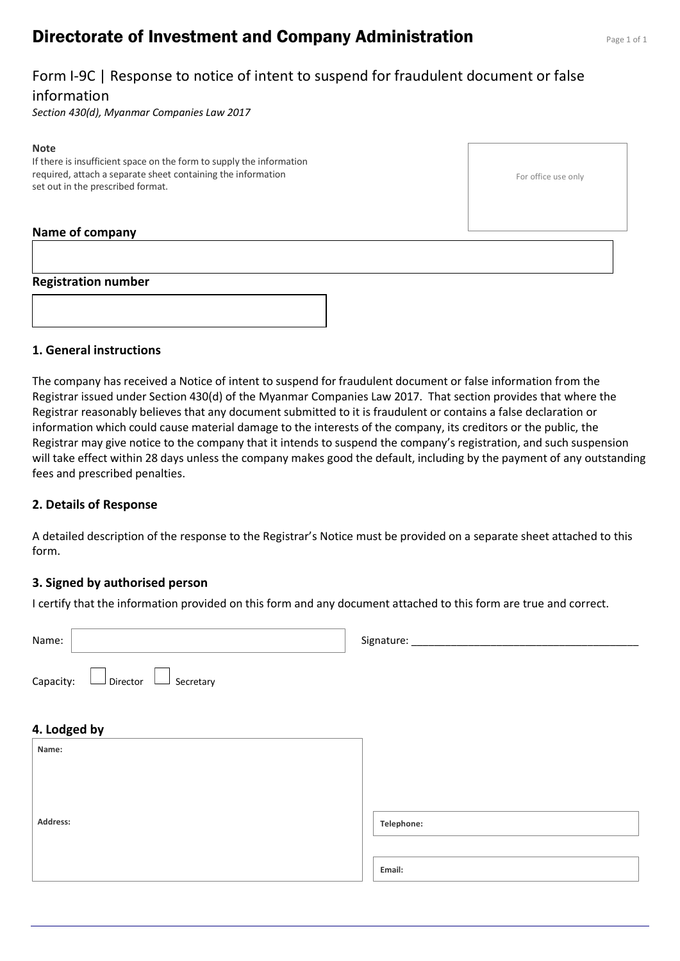# **Directorate of Investment and Company Administration** Page 1 of 1

### Form I-9C | Response to notice of intent to suspend for fraudulent document or false information

*Section 430(d), Myanmar Companies Law 2017*

#### **Note**

If there is insufficient space on the form to supply the information required, attach a separate sheet containing the information set out in the prescribed format.

For office use only

#### **Name of company**

#### **Registration number**



#### **1. General instructions**

The company has received a Notice of intent to suspend for fraudulent document or false information from the Registrar issued under Section 430(d) of the Myanmar Companies Law 2017. That section provides that where the Registrar reasonably believes that any document submitted to it is fraudulent or contains a false declaration or information which could cause material damage to the interests of the company, its creditors or the public, the Registrar may give notice to the company that it intends to suspend the company's registration, and such suspension will take effect within 28 days unless the company makes good the default, including by the payment of any outstanding fees and prescribed penalties.

#### **2. Details of Response**

A detailed description of the response to the Registrar's Notice must be provided on a separate sheet attached to this form.

#### **3. Signed by authorised person**

I certify that the information provided on this form and any document attached to this form are true and correct.

| Name:                                         | Signature: ____ |
|-----------------------------------------------|-----------------|
| $\Box$ Director $\Box$ Secretary<br>Capacity: |                 |
| 4. Lodged by                                  |                 |
| Name:                                         |                 |
|                                               |                 |
| Address:                                      | Telephone:      |
|                                               |                 |
|                                               | Email:          |